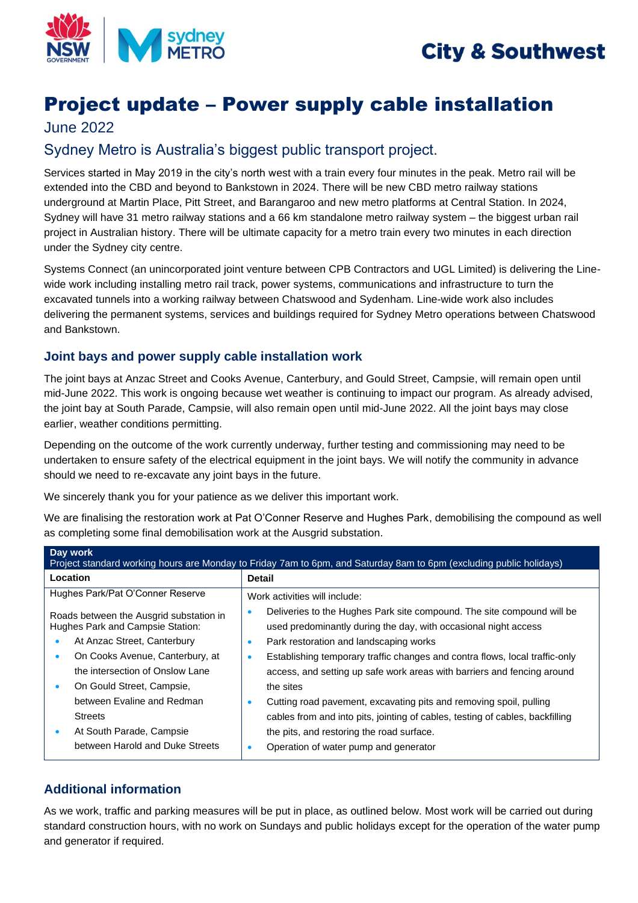



# Project update – Power supply cable installation

## June 2022

# Sydney Metro is Australia's biggest public transport project.

Services started in May 2019 in the city's north west with a train every four minutes in the peak. Metro rail will be extended into the CBD and beyond to Bankstown in 2024. There will be new CBD metro railway stations underground at Martin Place, Pitt Street, and Barangaroo and new metro platforms at Central Station. In 2024, Sydney will have 31 metro railway stations and a 66 km standalone metro railway system – the biggest urban rail project in Australian history. There will be ultimate capacity for a metro train every two minutes in each direction under the Sydney city centre.

Systems Connect (an unincorporated joint venture between CPB Contractors and UGL Limited) is delivering the Linewide work including installing metro rail track, power systems, communications and infrastructure to turn the excavated tunnels into a working railway between Chatswood and Sydenham. Line-wide work also includes delivering the permanent systems, services and buildings required for Sydney Metro operations between Chatswood and Bankstown.

### **Joint bays and power supply cable installation work**

The joint bays at Anzac Street and Cooks Avenue, Canterbury, and Gould Street, Campsie, will remain open until mid-June 2022. This work is ongoing because wet weather is continuing to impact our program. As already advised, the joint bay at South Parade, Campsie, will also remain open until mid-June 2022. All the joint bays may close earlier, weather conditions permitting.

Depending on the outcome of the work currently underway, further testing and commissioning may need to be undertaken to ensure safety of the electrical equipment in the joint bays. We will notify the community in advance should we need to re-excavate any joint bays in the future.

We sincerely thank you for your patience as we deliver this important work.

We are finalising the restoration work at Pat O'Conner Reserve and Hughes Park, demobilising the compound as well as completing some final demobilisation work at the Ausgrid substation.

| Day work<br>Project standard working hours are Monday to Friday 7am to 6pm, and Saturday 8am to 6pm (excluding public holidays)                                                                                                         |                                                                                                                                                                                                                                                                                                                                                                                      |
|-----------------------------------------------------------------------------------------------------------------------------------------------------------------------------------------------------------------------------------------|--------------------------------------------------------------------------------------------------------------------------------------------------------------------------------------------------------------------------------------------------------------------------------------------------------------------------------------------------------------------------------------|
| Location                                                                                                                                                                                                                                | <b>Detail</b>                                                                                                                                                                                                                                                                                                                                                                        |
| Hughes Park/Pat O'Conner Reserve                                                                                                                                                                                                        | Work activities will include:                                                                                                                                                                                                                                                                                                                                                        |
| Roads between the Ausgrid substation in<br>Hughes Park and Campsie Station:<br>At Anzac Street, Canterbury<br>On Cooks Avenue, Canterbury, at<br>$\bullet$<br>the intersection of Onslow Lane<br>On Gould Street, Campsie,<br>$\bullet$ | Deliveries to the Hughes Park site compound. The site compound will be<br>used predominantly during the day, with occasional night access<br>Park restoration and landscaping works<br>$\bullet$<br>Establishing temporary traffic changes and contra flows, local traffic-only<br>$\bullet$<br>access, and setting up safe work areas with barriers and fencing around<br>the sites |
| between Evaline and Redman<br><b>Streets</b><br>At South Parade, Campsie<br>$\bullet$<br>between Harold and Duke Streets                                                                                                                | Cutting road pavement, excavating pits and removing spoil, pulling<br>$\bullet$<br>cables from and into pits, jointing of cables, testing of cables, backfilling<br>the pits, and restoring the road surface.<br>Operation of water pump and generator                                                                                                                               |

### **Additional information**

As we work, traffic and parking measures will be put in place, as outlined below. Most work will be carried out during standard construction hours, with no work on Sundays and public holidays except for the operation of the water pump and generator if required.